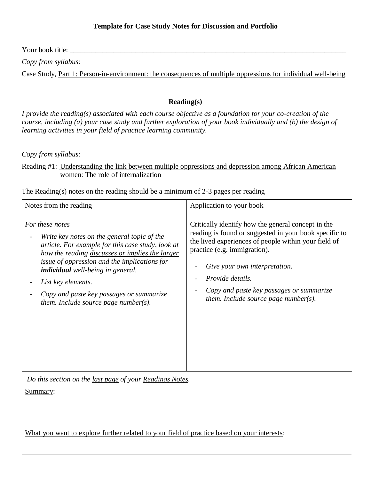Your book title:

*Copy from syllabus:*

Case Study, Part 1: Person-in-environment: the consequences of multiple oppressions for individual well-being

## **Reading(s)**

*I provide the reading(s) associated with each course objective as a foundation for your co-creation of the course, including (a) your case study and further exploration of your book individually and (b) the design of learning activities in your field of practice learning community.*

*Copy from syllabus:*

Reading #1: Understanding the link between multiple oppressions and depression among African American women: The role of internalization

The Reading(s) notes on the reading should be a minimum of 2-3 pages per reading

| Notes from the reading                                                                                                                                                                                                                                                                                                                                                    | Application to your book                                                                                                                                                                                                                                                                                                                          |
|---------------------------------------------------------------------------------------------------------------------------------------------------------------------------------------------------------------------------------------------------------------------------------------------------------------------------------------------------------------------------|---------------------------------------------------------------------------------------------------------------------------------------------------------------------------------------------------------------------------------------------------------------------------------------------------------------------------------------------------|
| For these notes<br>Write key notes on the general topic of the<br>article. For example for this case study, look at<br>how the reading discusses or implies the larger<br>issue of oppression and the implications for<br>individual well-being in general.<br>List key elements.<br>Copy and paste key passages or summarize<br>them. Include source page number( $s$ ). | Critically identify how the general concept in the<br>reading is found or suggested in your book specific to<br>the lived experiences of people within your field of<br>practice (e.g. immigration).<br>Give your own interpretation.<br>Provide details.<br>Copy and paste key passages or summarize<br>them. Include source page number( $s$ ). |
| Do this section on the last page of your Readings Notes.                                                                                                                                                                                                                                                                                                                  |                                                                                                                                                                                                                                                                                                                                                   |
| Summary:                                                                                                                                                                                                                                                                                                                                                                  |                                                                                                                                                                                                                                                                                                                                                   |
|                                                                                                                                                                                                                                                                                                                                                                           |                                                                                                                                                                                                                                                                                                                                                   |
| <b>XX71</b>                                                                                                                                                                                                                                                                                                                                                               |                                                                                                                                                                                                                                                                                                                                                   |

What you want to explore further related to your field of practice based on your interests: